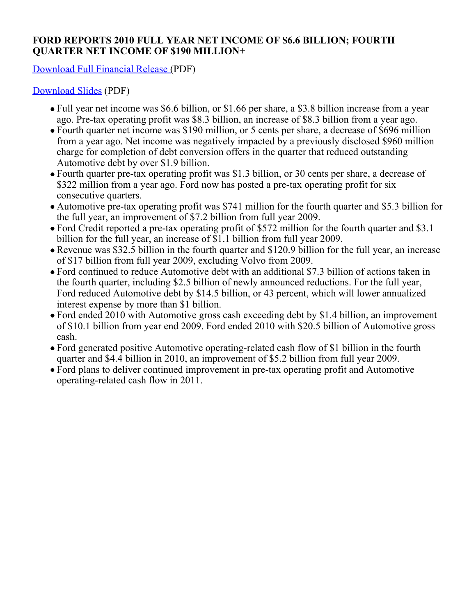## **FORD REPORTS 2010 FULL YEAR NET INCOME OF \$6.6 BILLION; FOURTH QUARTER NET INCOME OF \$190 MILLION+**

[Download Full Financial Release](http://media.ford.com/images/10031/4Q2010Financials.pdf) (PDF)

[Download Slides](http://media.ford.com/images/10031/4Q2010_Financial_Slides.pdff) (PDF)

- Full year net income was \$6.6 billion, or \$1.66 per share, a \$3.8 billion increase from a year ago. Pre-tax operating profit was \$8.3 billion, an increase of \$8.3 billion from a year ago.
- Fourth quarter net income was \$190 million, or 5 cents per share, a decrease of \$696 million from a year ago. Net income was negatively impacted by a previously disclosed \$960 million charge for completion of debt conversion offers in the quarter that reduced outstanding Automotive debt by over \$1.9 billion.
- Fourth quarter pre-tax operating profit was \$1.3 billion, or 30 cents per share, a decrease of \$322 million from a year ago. Ford now has posted a pre-tax operating profit for six consecutive quarters.
- Automotive pre-tax operating profit was \$741 million for the fourth quarter and \$5.3 billion for the full year, an improvement of \$7.2 billion from full year 2009.
- Ford Credit reported a pre-tax operating profit of \$572 million for the fourth quarter and \$3.1 billion for the full year, an increase of \$1.1 billion from full year 2009.
- Revenue was \$32.5 billion in the fourth quarter and \$120.9 billion for the full year, an increase of \$17 billion from full year 2009, excluding Volvo from 2009.
- Ford continued to reduce Automotive debt with an additional \$7.3 billion of actions taken in the fourth quarter, including \$2.5 billion of newly announced reductions. For the full year, Ford reduced Automotive debt by \$14.5 billion, or 43 percent, which will lower annualized interest expense by more than \$1 billion.
- Ford ended 2010 with Automotive gross cash exceeding debt by \$1.4 billion, an improvement of \$10.1 billion from year end 2009. Ford ended 2010 with \$20.5 billion of Automotive gross cash.
- Ford generated positive Automotive operating-related cash flow of \$1 billion in the fourth quarter and \$4.4 billion in 2010, an improvement of \$5.2 billion from full year 2009.
- Ford plans to deliver continued improvement in pre-tax operating profit and Automotive operating-related cash flow in 2011.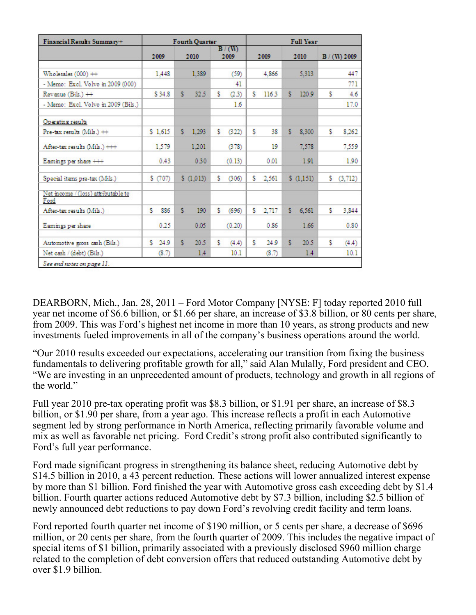| Financial Results Summary+                  |            | <b>Fourth Quarter</b> |               | <b>Full Year</b> |             |               |  |  |  |
|---------------------------------------------|------------|-----------------------|---------------|------------------|-------------|---------------|--|--|--|
|                                             | 2009       | 2010                  | B/(W)<br>2009 | 2009             | 2010        | B/(W) 2009    |  |  |  |
| Wholesales $(000)$ $++$                     | 1,448      | 1,389                 | (59)          | 4.866            | 5,313       | 447           |  |  |  |
| - Memo: Excl. Volvo in 2009 (000)           |            |                       | 41            |                  |             | 771           |  |  |  |
| Revenue (Bils.) ++                          | \$34.8     | Ŝ.<br>32.5            | Ś.<br>(2.3)   | Ś.<br>116.3      | s.<br>120.9 | Ś.<br>4.6     |  |  |  |
| - Memo: Excl. Volvo in 2009 (Bils.)         |            |                       | 1.6           |                  |             | 17.0          |  |  |  |
| Operating results                           |            |                       |               |                  |             |               |  |  |  |
| Pre-tax results $(Mils.) +$                 | \$1,615    | s.<br>1,293           | s.<br>(322)   | \$.<br>38        | s.<br>8,300 | s.<br>8,262   |  |  |  |
| After-tax results (Mils.) +++               | 1,579      | 1,201                 | (378)         | 19               | 7,578       | 7,559         |  |  |  |
| Eamings per share +++                       | 0.43       | 0.30                  | (0.13)        | 0.01             | 1.91        | 1.90          |  |  |  |
| Special items pre-tax (Mils.)               | \$ (707)   | \$(1,013)             | s<br>(306)    | s.<br>2,561      | \$(1,151)   | (3,712)<br>s. |  |  |  |
| Net income / (loss) attributable to<br>Ford |            |                       |               |                  |             |               |  |  |  |
| After-tax results (Mils.)                   | s<br>886   | s<br>190              | s<br>(696)    | Ś.<br>2,717      | s<br>6.561  | s<br>3,844    |  |  |  |
| Eamings per share                           | 0.25       | 0.05                  | (0.20)        | 0.86             | 1.66        | 0.80          |  |  |  |
| Automotive gross cash (Bils.)               | 24.9<br>s. | Ś<br>20.5             | s<br>(4.4)    | \$.<br>24.9      | Ś.<br>20.5  | Ŝ<br>(4.4)    |  |  |  |
| Net cash / (debt) (Bils.)                   | (8.7)      | 1.4                   | 10.1          | (8.7)            | 1.4         | 10.1          |  |  |  |

DEARBORN, Mich., Jan. 28, 2011 – Ford Motor Company [NYSE: F] today reported 2010 full year net income of \$6.6 billion, or \$1.66 per share, an increase of \$3.8 billion, or 80 cents per share, from 2009. This was Ford's highest net income in more than 10 years, as strong products and new investments fueled improvements in all of the company's business operations around the world.

"Our 2010 results exceeded our expectations, accelerating our transition from fixing the business fundamentals to delivering profitable growth for all," said Alan Mulally, Ford president and CEO. "We are investing in an unprecedented amount of products, technology and growth in all regions of the world."

Full year 2010 pre-tax operating profit was \$8.3 billion, or \$1.91 per share, an increase of \$8.3 billion, or \$1.90 per share, from a year ago. This increase reflects a profit in each Automotive segment led by strong performance in North America, reflecting primarily favorable volume and mix as well as favorable net pricing. Ford Credit's strong profit also contributed significantly to Ford's full year performance.

Ford made significant progress in strengthening its balance sheet, reducing Automotive debt by \$14.5 billion in 2010, a 43 percent reduction. These actions will lower annualized interest expense by more than \$1 billion. Ford finished the year with Automotive gross cash exceeding debt by \$1.4 billion. Fourth quarter actions reduced Automotive debt by \$7.3 billion, including \$2.5 billion of newly announced debt reductions to pay down Ford's revolving credit facility and term loans.

Ford reported fourth quarter net income of \$190 million, or 5 cents per share, a decrease of \$696 million, or 20 cents per share, from the fourth quarter of 2009. This includes the negative impact of special items of \$1 billion, primarily associated with a previously disclosed \$960 million charge related to the completion of debt conversion offers that reduced outstanding Automotive debt by over \$1.9 billion.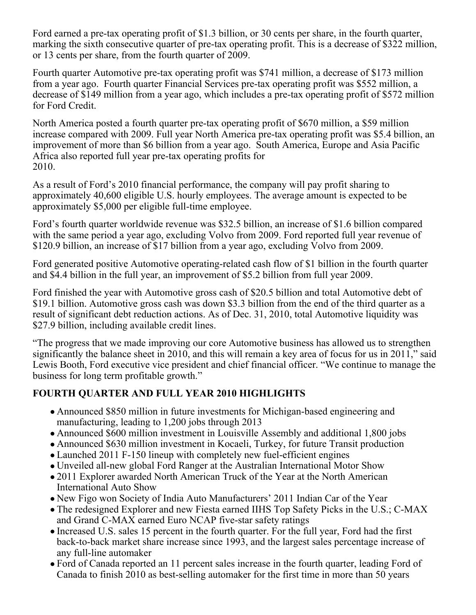Ford earned a pre-tax operating profit of \$1.3 billion, or 30 cents per share, in the fourth quarter, marking the sixth consecutive quarter of pre-tax operating profit. This is a decrease of \$322 million, or 13 cents per share, from the fourth quarter of 2009.

Fourth quarter Automotive pre-tax operating profit was \$741 million, a decrease of \$173 million from a year ago. Fourth quarter Financial Services pre-tax operating profit was \$552 million, a decrease of \$149 million from a year ago, which includes a pre-tax operating profit of \$572 million for Ford Credit.

North America posted a fourth quarter pre-tax operating profit of \$670 million, a \$59 million increase compared with 2009. Full year North America pre-tax operating profit was \$5.4 billion, an improvement of more than \$6 billion from a year ago. South America, Europe and Asia Pacific Africa also reported full year pre-tax operating profits for 2010.

As a result of Ford's 2010 financial performance, the company will pay profit sharing to approximately 40,600 eligible U.S. hourly employees. The average amount is expected to be approximately \$5,000 per eligible full-time employee.

Ford's fourth quarter worldwide revenue was \$32.5 billion, an increase of \$1.6 billion compared with the same period a year ago, excluding Volvo from 2009. Ford reported full year revenue of \$120.9 billion, an increase of \$17 billion from a year ago, excluding Volvo from 2009.

Ford generated positive Automotive operating-related cash flow of \$1 billion in the fourth quarter and \$4.4 billion in the full year, an improvement of \$5.2 billion from full year 2009.

Ford finished the year with Automotive gross cash of \$20.5 billion and total Automotive debt of \$19.1 billion. Automotive gross cash was down \$3.3 billion from the end of the third quarter as a result of significant debt reduction actions. As of Dec. 31, 2010, total Automotive liquidity was \$27.9 billion, including available credit lines.

"The progress that we made improving our core Automotive business has allowed us to strengthen significantly the balance sheet in 2010, and this will remain a key area of focus for us in 2011," said Lewis Booth, Ford executive vice president and chief financial officer. "We continue to manage the business for long term profitable growth."

# **FOURTH QUARTER AND FULL YEAR 2010 HIGHLIGHTS**

- Announced \$850 million in future investments for Michigan-based engineering and manufacturing, leading to 1,200 jobs through 2013
- Announced \$600 million investment in Louisville Assembly and additional 1,800 jobs
- Announced \$630 million investment in Kocaeli, Turkey, for future Transit production
- Launched 2011 F-150 lineup with completely new fuel-efficient engines
- Unveiled all-new global Ford Ranger at the Australian International Motor Show
- 2011 Explorer awarded North American Truck of the Year at the North American International Auto Show
- New Figo won Society of India Auto Manufacturers' 2011 Indian Car of the Year
- The redesigned Explorer and new Fiesta earned IIHS Top Safety Picks in the U.S.; C-MAX and Grand C-MAX earned Euro NCAP five-star safety ratings
- Increased U.S. sales 15 percent in the fourth quarter. For the full year, Ford had the first back-to-back market share increase since 1993, and the largest sales percentage increase of any full-line automaker
- Ford of Canada reported an 11 percent sales increase in the fourth quarter, leading Ford of Canada to finish 2010 as best-selling automaker for the first time in more than 50 years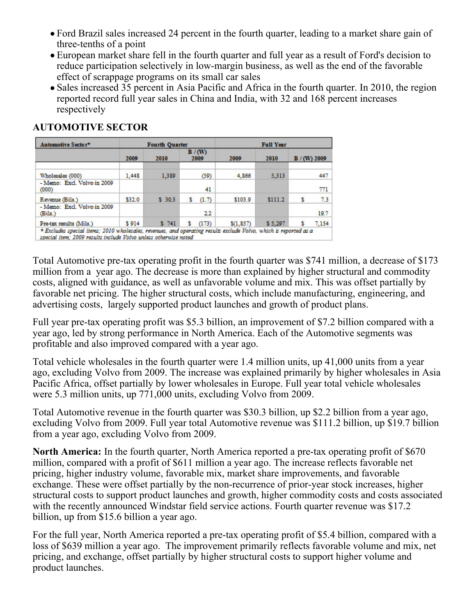- Ford Brazil sales increased 24 percent in the fourth quarter, leading to a market share gain of three-tenths of a point
- European market share fell in the fourth quarter and full year as a result of Ford's decision to reduce participation selectively in low-margin business, as well as the end of the favorable effect of scrappage programs on its small car sales
- Sales increased 35 percent in Asia Pacific and Africa in the fourth quarter. In 2010, the region reported record full year sales in China and India, with 32 and 168 percent increases respectively

# **AUTOMOTIVE SECTOR**

| Automotive Sector*                     |        | <b>Fourth Quarter</b> |               | <b>Full Year</b> |         |              |  |  |
|----------------------------------------|--------|-----------------------|---------------|------------------|---------|--------------|--|--|
|                                        | 2009   | 2010                  | B/(W)<br>2009 | 2009             | 2010    | $B/(W)$ 2009 |  |  |
| Wholesales (000)                       | 1,448  | 1,389                 | (59)          | 4,866            | 5,313   | 447          |  |  |
| - Memo: Excl. Volvo in 2009<br>(000)   |        |                       | 41            |                  |         | 771          |  |  |
| Revenue (Bils.)                        | \$32.0 | \$30.3                | (1.7)         | \$103.9          | \$111.2 | 7.3          |  |  |
| - Memo: Excl. Volvo in 2009<br>(Bils.) |        |                       | 22            |                  |         | 19.7         |  |  |
| Pre-tax results (Mils.)                | \$914  | 5741                  | (173)         | \$(1, 857)       | \$5,297 | 7,154        |  |  |

Total Automotive pre-tax operating profit in the fourth quarter was \$741 million, a decrease of \$173 million from a year ago. The decrease is more than explained by higher structural and commodity costs, aligned with guidance, as well as unfavorable volume and mix. This was offset partially by favorable net pricing. The higher structural costs, which include manufacturing, engineering, and advertising costs, largely supported product launches and growth of product plans.

Full year pre-tax operating profit was \$5.3 billion, an improvement of \$7.2 billion compared with a year ago, led by strong performance in North America. Each of the Automotive segments was profitable and also improved compared with a year ago.

Total vehicle wholesales in the fourth quarter were 1.4 million units, up 41,000 units from a year ago, excluding Volvo from 2009. The increase was explained primarily by higher wholesales in Asia Pacific Africa, offset partially by lower wholesales in Europe. Full year total vehicle wholesales were 5.3 million units, up 771,000 units, excluding Volvo from 2009.

Total Automotive revenue in the fourth quarter was \$30.3 billion, up \$2.2 billion from a year ago, excluding Volvo from 2009. Full year total Automotive revenue was \$111.2 billion, up \$19.7 billion from a year ago, excluding Volvo from 2009.

**North America:** In the fourth quarter, North America reported a pre-tax operating profit of \$670 million, compared with a profit of \$611 million a year ago. The increase reflects favorable net pricing, higher industry volume, favorable mix, market share improvements, and favorable exchange. These were offset partially by the non-recurrence of prior-year stock increases, higher structural costs to support product launches and growth, higher commodity costs and costs associated with the recently announced Windstar field service actions. Fourth quarter revenue was \$17.2 billion, up from \$15.6 billion a year ago.

For the full year, North America reported a pre-tax operating profit of \$5.4 billion, compared with a loss of \$639 million a year ago. The improvement primarily reflects favorable volume and mix, net pricing, and exchange, offset partially by higher structural costs to support higher volume and product launches.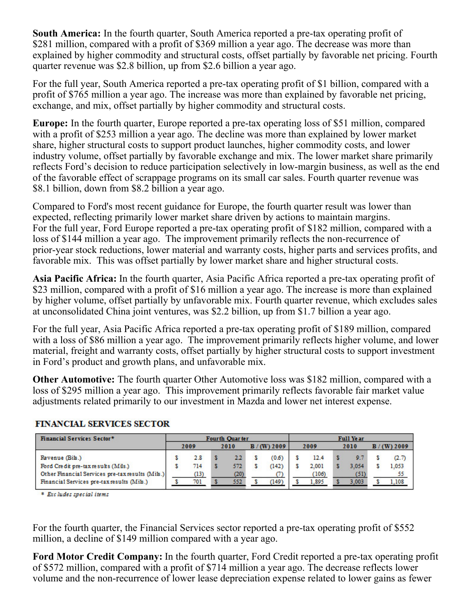**South America:** In the fourth quarter, South America reported a pre-tax operating profit of \$281 million, compared with a profit of \$369 million a year ago. The decrease was more than explained by higher commodity and structural costs, offset partially by favorable net pricing. Fourth quarter revenue was \$2.8 billion, up from \$2.6 billion a year ago.

For the full year, South America reported a pre-tax operating profit of \$1 billion, compared with a profit of \$765 million a year ago. The increase was more than explained by favorable net pricing, exchange, and mix, offset partially by higher commodity and structural costs.

**Europe:** In the fourth quarter, Europe reported a pre-tax operating loss of \$51 million, compared with a profit of \$253 million a year ago. The decline was more than explained by lower market share, higher structural costs to support product launches, higher commodity costs, and lower industry volume, offset partially by favorable exchange and mix. The lower market share primarily reflects Ford's decision to reduce participation selectively in low-margin business, as well as the end of the favorable effect of scrappage programs on its small car sales. Fourth quarter revenue was \$8.1 billion, down from \$8.2 billion a year ago.

Compared to Ford's most recent guidance for Europe, the fourth quarter result was lower than expected, reflecting primarily lower market share driven by actions to maintain margins. For the full year, Ford Europe reported a pre-tax operating profit of \$182 million, compared with a loss of \$144 million a year ago. The improvement primarily reflects the non-recurrence of prior-year stock reductions, lower material and warranty costs, higher parts and services profits, and favorable mix. This was offset partially by lower market share and higher structural costs.

**Asia Pacific Africa:** In the fourth quarter, Asia Pacific Africa reported a pre-tax operating profit of \$23 million, compared with a profit of \$16 million a year ago. The increase is more than explained by higher volume, offset partially by unfavorable mix. Fourth quarter revenue, which excludes sales at unconsolidated China joint ventures, was \$2.2 billion, up from \$1.7 billion a year ago.

For the full year, Asia Pacific Africa reported a pre-tax operating profit of \$189 million, compared with a loss of \$86 million a year ago. The improvement primarily reflects higher volume, and lower material, freight and warranty costs, offset partially by higher structural costs to support investment in Ford's product and growth plans, and unfavorable mix.

**Other Automotive:** The fourth quarter Other Automotive loss was \$182 million, compared with a loss of \$295 million a year ago. This improvement primarily reflects favorable fair market value adjustments related primarily to our investment in Mazda and lower net interest expense.

| <b>Financial Services Sector*</b>                |  | Fourth Quarter |  |      |  |              |  | <b>Full Year</b> |  |       |  |          |
|--------------------------------------------------|--|----------------|--|------|--|--------------|--|------------------|--|-------|--|----------|
|                                                  |  | 2009           |  | 2010 |  | $B/(W)$ 2009 |  | 2009             |  | 2010  |  | (W) 2009 |
| Revenue (Bils.)                                  |  | 2.8            |  | 22   |  | (0.6)        |  | 12.4             |  | 9.7   |  | (2.7)    |
| Ford Credit pre-tax results (Mils.)              |  | 714            |  | 572  |  | (142)        |  | 2.001            |  | 3.054 |  | 1.053    |
| Other Financial Services pre-tax results (Mils.) |  | (13)           |  | (20) |  |              |  | (106)            |  | (51)  |  | 55       |
| Financial Services pre-tax results (Mils.)       |  | 701            |  | 552  |  | (149)        |  | 1,895            |  | 3.003 |  | 1.108    |

## **FINANCIAL SERVICES SECTOR**

\* Excludes special items

For the fourth quarter, the Financial Services sector reported a pre-tax operating profit of \$552 million, a decline of \$149 million compared with a year ago.

**Ford Motor Credit Company:** In the fourth quarter, Ford Credit reported a pre-tax operating profit of \$572 million, compared with a profit of \$714 million a year ago. The decrease reflects lower volume and the non-recurrence of lower lease depreciation expense related to lower gains as fewer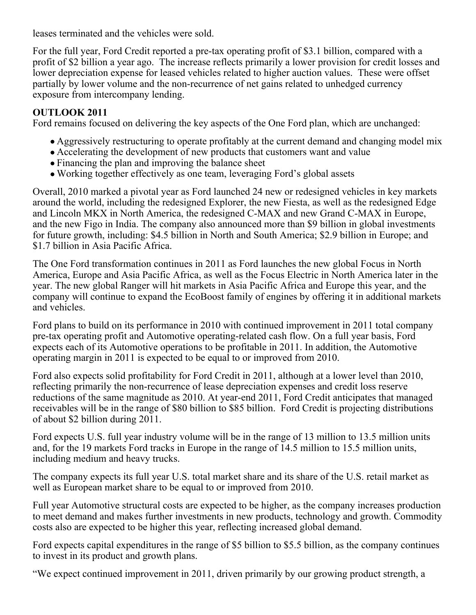leases terminated and the vehicles were sold.

For the full year, Ford Credit reported a pre-tax operating profit of \$3.1 billion, compared with a profit of \$2 billion a year ago. The increase reflects primarily a lower provision for credit losses and lower depreciation expense for leased vehicles related to higher auction values. These were offset partially by lower volume and the non-recurrence of net gains related to unhedged currency exposure from intercompany lending.

# **OUTLOOK 2011**

Ford remains focused on delivering the key aspects of the One Ford plan, which are unchanged:

- Aggressively restructuring to operate profitably at the current demand and changing model mix
- Accelerating the development of new products that customers want and value
- Financing the plan and improving the balance sheet
- Working together effectively as one team, leveraging Ford's global assets

Overall, 2010 marked a pivotal year as Ford launched 24 new or redesigned vehicles in key markets around the world, including the redesigned Explorer, the new Fiesta, as well as the redesigned Edge and Lincoln MKX in North America, the redesigned C-MAX and new Grand C-MAX in Europe, and the new Figo in India. The company also announced more than \$9 billion in global investments for future growth, including: \$4.5 billion in North and South America; \$2.9 billion in Europe; and \$1.7 billion in Asia Pacific Africa.

The One Ford transformation continues in 2011 as Ford launches the new global Focus in North America, Europe and Asia Pacific Africa, as well as the Focus Electric in North America later in the year. The new global Ranger will hit markets in Asia Pacific Africa and Europe this year, and the company will continue to expand the EcoBoost family of engines by offering it in additional markets and vehicles.

Ford plans to build on its performance in 2010 with continued improvement in 2011 total company pre-tax operating profit and Automotive operating-related cash flow. On a full year basis, Ford expects each of its Automotive operations to be profitable in 2011. In addition, the Automotive operating margin in 2011 is expected to be equal to or improved from 2010.

Ford also expects solid profitability for Ford Credit in 2011, although at a lower level than 2010, reflecting primarily the non-recurrence of lease depreciation expenses and credit loss reserve reductions of the same magnitude as 2010. At year-end 2011, Ford Credit anticipates that managed receivables will be in the range of \$80 billion to \$85 billion. Ford Credit is projecting distributions of about \$2 billion during 2011.

Ford expects U.S. full year industry volume will be in the range of 13 million to 13.5 million units and, for the 19 markets Ford tracks in Europe in the range of 14.5 million to 15.5 million units, including medium and heavy trucks.

The company expects its full year U.S. total market share and its share of the U.S. retail market as well as European market share to be equal to or improved from 2010.

Full year Automotive structural costs are expected to be higher, as the company increases production to meet demand and makes further investments in new products, technology and growth. Commodity costs also are expected to be higher this year, reflecting increased global demand.

Ford expects capital expenditures in the range of \$5 billion to \$5.5 billion, as the company continues to invest in its product and growth plans.

"We expect continued improvement in 2011, driven primarily by our growing product strength, a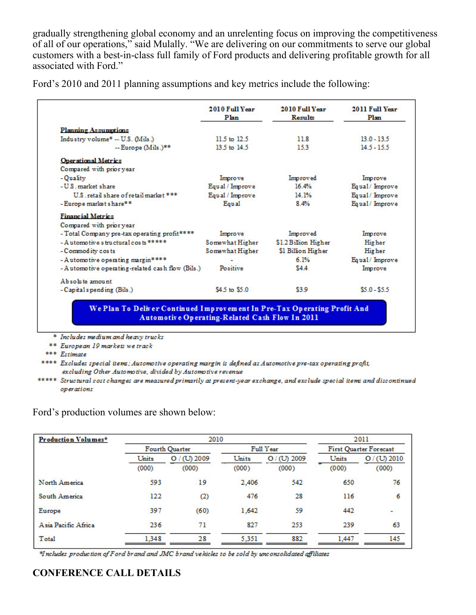gradually strengthening global economy and an unrelenting focus on improving the competitiveness of all of our operations," said Mulally. "We are delivering on our commitments to serve our global customers with a best-in-class full family of Ford products and delivering profitable growth for all associated with Ford."

| Ford's 2010 and 2011 planning assumptions and key metrics include the following: |  |  |  |
|----------------------------------------------------------------------------------|--|--|--|
|                                                                                  |  |  |  |

|                                                  | 2010 Full Year<br>Plan | 2010 Full Year<br>Results | 2011 Full Year<br>Plan |
|--------------------------------------------------|------------------------|---------------------------|------------------------|
| <b>Planning Assumptions</b>                      |                        |                           |                        |
| Industry volume* -- U.S. (Mils.)                 | 11.5 to 12.5           | 11.8                      | $13.0 - 13.5$          |
| $-$ Europe (Mils.)**                             | 13.5 to 14.5           | 153                       | $14.5 - 15.5$          |
| <b>Operational Metrics</b>                       |                        |                           |                        |
| Compared with prior year                         |                        |                           |                        |
| - Quality                                        | Improve                | Improved                  | Improve                |
| -U.S. market share                               | Equal / Improve        | 16.4%                     | Equal/Improve          |
| U.S. retail share of retail market ***           | Equal / Improve        | 14.1%                     | Equal/Improve          |
| - Europe market share**                          | Equal                  | 8.4%                      | Equal/ Improve         |
| <b>Financial Metrics</b>                         |                        |                           |                        |
| Compared with prior year                         |                        |                           |                        |
| - Total Company pre-tax operating profit****     | Improve                | Improved                  | Improve                |
| - Automotive structural costs *****              | Somewhat Higher        | \$1.2 Billion Higher      | <b>Higher</b>          |
| - Commodity costs                                | Somewhat Higher        | \$1 Billion Higher        | <b>Higher</b>          |
| - Automotive operating margin****                |                        | 6.1%                      | Equal/Improve          |
| - Automotive operating-related cash flow (Bils.) | Positive               | \$4.4                     | Improve                |
| Absolute amount                                  |                        |                           |                        |
| - Capital spending (Bils.)                       | \$4.5 to \$5.0         | \$3.9                     | $$5.0 - $5.5$$         |

\* Includes medium and heavy trucks

\*\* European 19 markets we track

\*\*\* Estimate

\*\*\*\* Excludes special items; Automotive operating margin is defined as Automotive pre-tax operating profit, excluding Other Automotive, divided by Automotive revenue

\*\*\*\*\* Structural cost changes are measured primarily at present-year exchange, and exclude special items and discontinued operations

## Ford's production volumes are shown below:

| Production Volumes* |       | 2010           | 2011  |              |                               |              |  |  |
|---------------------|-------|----------------|-------|--------------|-------------------------------|--------------|--|--|
|                     |       | Fourth Quarter |       | Full Year    | <b>First Quarter Forecast</b> |              |  |  |
|                     | Units | $O/(U)$ 2009   | Units | $O/(U)$ 2009 | Units                         | $O/(U)$ 2010 |  |  |
|                     | (000) | (000)          | (000) | (000)        | (000)                         | (000)        |  |  |
| North America       | 593   | 19             | 2.406 | 542          | 650                           | 76           |  |  |
| South America       | 122   | $^{(2)}$       | 476   | 28           | 116                           | 6            |  |  |
| Europe              | 397   | (60)           | 1.642 | 59           | 442                           |              |  |  |
| Asia Pacific Africa | 236   | 71             | 827   | 253          | 239                           | 63           |  |  |
| Total               | 1.348 | 28             | 5.351 | 882          | 1.447                         | 145          |  |  |

\*Includes production of F ord brand and JMC brand vehicles to be sold by unconsolidated affiliates

# **CONFERENCE CALL DETAILS**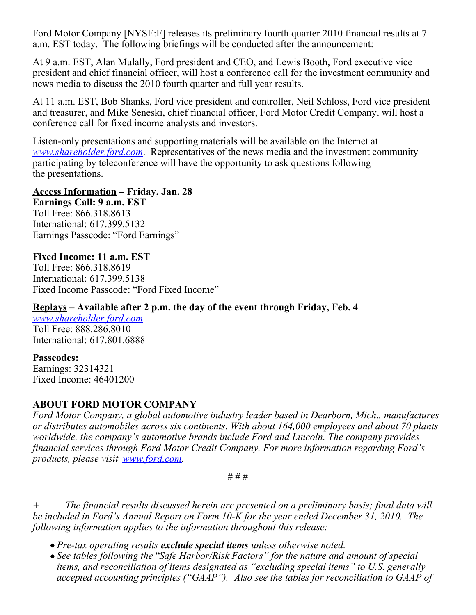Ford Motor Company [NYSE:F] releases its preliminary fourth quarter 2010 financial results at 7 a.m. EST today. The following briefings will be conducted after the announcement:

At 9 a.m. EST, Alan Mulally, Ford president and CEO, and Lewis Booth, Ford executive vice president and chief financial officer, will host a conference call for the investment community and news media to discuss the 2010 fourth quarter and full year results.

At 11 a.m. EST, Bob Shanks, Ford vice president and controller, Neil Schloss, Ford vice president and treasurer, and Mike Seneski, chief financial officer, Ford Motor Credit Company, will host a conference call for fixed income analysts and investors.

Listen-only presentations and supporting materials will be available on the Internet at *[www.shareholder.ford.com](http://www.shareholder.ford.com/)*. Representatives of the news media and the investment community participating by teleconference will have the opportunity to ask questions following the presentations.

#### **Access Information – Friday, Jan. 28**

**Earnings Call: 9 a.m. EST** Toll Free: 866.318.8613 International: 617.399.5132 Earnings Passcode: "Ford Earnings"

## **Fixed Income: 11 a.m. EST**

Toll Free: 866.318.8619 International: 617.399.5138 Fixed Income Passcode: "Ford Fixed Income"

# **Replays – Available after 2 p.m. the day of the event through Friday, Feb. 4**

*[www.shareholder.ford.com](http://www.shareholder.ford.com/)* Toll Free: 888.286.8010 International: 617.801.6888

## **Passcodes:**

Earnings: 32314321 Fixed Income: 46401200

## **ABOUT FORD MOTOR COMPANY**

*Ford Motor Company, a global automotive industry leader based in Dearborn, Mich., manufactures or distributes automobiles across six continents. With about 164,000 employees and about 70 plants worldwide, the company's automotive brands include Ford and Lincoln. The company provides financial services through Ford Motor Credit Company. For more information regarding Ford's products, please visit [www.ford.com](http://www.ford.com/).* 

# # #

*+ The financial results discussed herein are presented on a preliminary basis; final data will be included in Ford's Annual Report on Form 10-K for the year ended December 31, 2010. The following information applies to the information throughout this release:*

- *Pre-tax operating results exclude special items unless otherwise noted.*
- *See tables following the* "*Safe Harbor/Risk Factors" for the nature and amount of special items, and reconciliation of items designated as "excluding special items" to U.S. generally accepted accounting principles ("GAAP"). Also see the tables for reconciliation to GAAP of*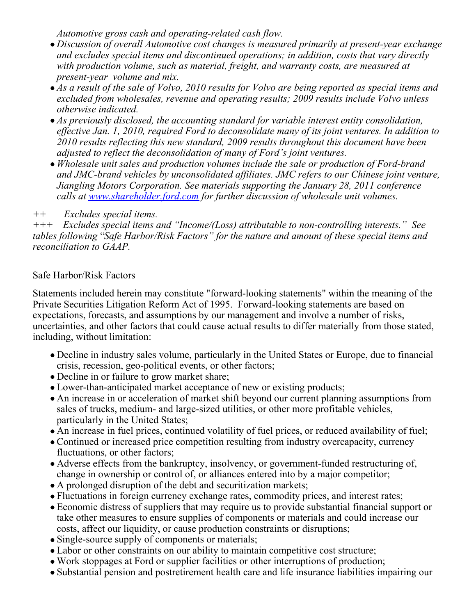*Automotive gross cash and operating-related cash flow.*

- *Discussion of overall Automotive cost changes is measured primarily at present-year exchange and excludes special items and discontinued operations; in addition, costs that vary directly with production volume, such as material, freight, and warranty costs, are measured at present-year volume and mix.*
- *As a result of the sale of Volvo, 2010 results for Volvo are being reported as special items and excluded from wholesales, revenue and operating results; 2009 results include Volvo unless otherwise indicated.*
- *As previously disclosed, the accounting standard for variable interest entity consolidation, effective Jan. 1, 2010, required Ford to deconsolidate many of its joint ventures. In addition to 2010 results reflecting this new standard, 2009 results throughout this document have been adjusted to reflect the deconsolidation of many of Ford's joint ventures.*
- *Wholesale unit sales and production volumes include the sale or production of Ford-brand and JMC-brand vehicles by unconsolidated affiliates. JMC refers to our Chinese joint venture, Jiangling Motors Corporation. See materials supporting the January 28, 2011 conference calls at [www.shareholder.ford.com](http://www.shareholder.ford.com/) for further discussion of wholesale unit volumes.*

# *++ Excludes special items.*

*+++ Excludes special items and "Income/(Loss) attributable to non-controlling interests." See tables following* "*Safe Harbor/Risk Factors" for the nature and amount of these special items and reconciliation to GAAP.* 

# Safe Harbor/Risk Factors

Statements included herein may constitute "forward-looking statements" within the meaning of the Private Securities Litigation Reform Act of 1995. Forward-looking statements are based on expectations, forecasts, and assumptions by our management and involve a number of risks, uncertainties, and other factors that could cause actual results to differ materially from those stated, including, without limitation:

- Decline in industry sales volume, particularly in the United States or Europe, due to financial crisis, recession, geo-political events, or other factors;
- Decline in or failure to grow market share;
- Lower-than-anticipated market acceptance of new or existing products;
- An increase in or acceleration of market shift beyond our current planning assumptions from sales of trucks, medium- and large-sized utilities, or other more profitable vehicles, particularly in the United States;
- An increase in fuel prices, continued volatility of fuel prices, or reduced availability of fuel;
- Continued or increased price competition resulting from industry overcapacity, currency fluctuations, or other factors;
- Adverse effects from the bankruptcy, insolvency, or government-funded restructuring of, change in ownership or control of, or alliances entered into by a major competitor;
- A prolonged disruption of the debt and securitization markets;
- Fluctuations in foreign currency exchange rates, commodity prices, and interest rates;
- Economic distress of suppliers that may require us to provide substantial financial support or take other measures to ensure supplies of components or materials and could increase our costs, affect our liquidity, or cause production constraints or disruptions;
- Single-source supply of components or materials;
- Labor or other constraints on our ability to maintain competitive cost structure;
- Work stoppages at Ford or supplier facilities or other interruptions of production;
- Substantial pension and postretirement health care and life insurance liabilities impairing our